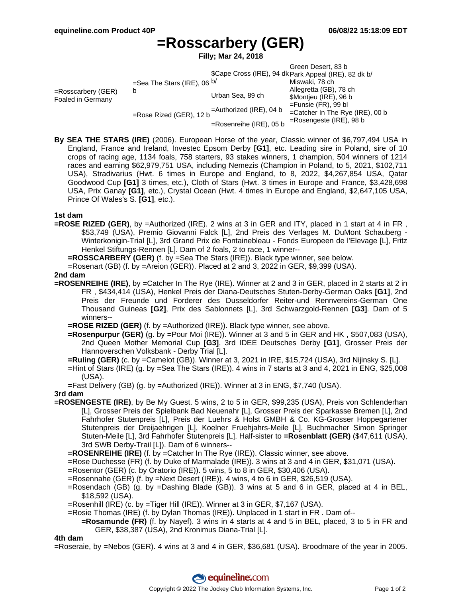# **=Rosscarbery (GER)**

**Filly; Mar 24, 2018**

|                                            |                                    |                            | Green Desert, 83 b<br>\$Cape Cross (IRE), 94 dk Park Appeal (IRE), 82 dk b/ |  |
|--------------------------------------------|------------------------------------|----------------------------|-----------------------------------------------------------------------------|--|
|                                            |                                    |                            |                                                                             |  |
| $=$ Rosscarbery (GER)<br>Foaled in Germany | =Sea The Stars (IRE), 06 $b/$<br>b |                            | Miswaki, 78 ch                                                              |  |
|                                            |                                    | Urban Sea, 89 ch           | Allegretta (GB), 78 ch                                                      |  |
|                                            |                                    |                            | \$Montjeu (IRE), 96 b                                                       |  |
|                                            | =Rose Rized (GER), 12 b            | $=$ Authorized (IRE), 04 b | $=$ Funsie (FR), 99 bl<br>=Catcher In The Rye (IRE), 00 b                   |  |
|                                            |                                    | $=$ Rosenreihe (IRE), 05 b | $=$ Rosengeste (IRE), 98 b                                                  |  |

**By SEA THE STARS (IRE)** (2006). European Horse of the year, Classic winner of \$6,797,494 USA in England, France and Ireland, Investec Epsom Derby **[G1]**, etc. Leading sire in Poland, sire of 10 crops of racing age, 1134 foals, 758 starters, 93 stakes winners, 1 champion, 504 winners of 1214 races and earning \$62,979,751 USA, including Nemezis (Champion in Poland, to 5, 2021, \$102,711 USA), Stradivarius (Hwt. 6 times in Europe and England, to 8, 2022, \$4,267,854 USA, Qatar Goodwood Cup **[G1]** 3 times, etc.), Cloth of Stars (Hwt. 3 times in Europe and France, \$3,428,698 USA, Prix Ganay **[G1]**, etc.), Crystal Ocean (Hwt. 4 times in Europe and England, \$2,647,105 USA, Prince Of Wales's S. **[G1]**, etc.).

## **1st dam**

- **=ROSE RIZED (GER)**, by =Authorized (IRE). 2 wins at 3 in GER and ITY, placed in 1 start at 4 in FR , \$53,749 (USA), Premio Giovanni Falck [L], 2nd Preis des Verlages M. DuMont Schauberg - Winterkonigin-Trial [L], 3rd Grand Prix de Fontainebleau - Fonds Europeen de l'Elevage [L], Fritz Henkel Stiftungs-Rennen [L]. Dam of 2 foals, 2 to race, 1 winner--
	- **=ROSSCARBERY (GER)** (f. by =Sea The Stars (IRE)). Black type winner, see below.

=Rosenart (GB) (f. by =Areion (GER)). Placed at 2 and 3, 2022 in GER, \$9,399 (USA).

## **2nd dam**

- **=ROSENREIHE (IRE)**, by =Catcher In The Rye (IRE). Winner at 2 and 3 in GER, placed in 2 starts at 2 in FR , \$434,414 (USA), Henkel Preis der Diana-Deutsches Stuten-Derby-German Oaks **[G1]**, 2nd Preis der Freunde und Forderer des Dusseldorfer Reiter-und Rennvereins-German One Thousand Guineas **[G2]**, Prix des Sablonnets [L], 3rd Schwarzgold-Rennen **[G3]**. Dam of 5 winners--
	- **=ROSE RIZED (GER)** (f. by =Authorized (IRE)). Black type winner, see above.
	- **=Rosenpurpur (GER)** (g. by =Pour Moi (IRE)). Winner at 3 and 5 in GER and HK , \$507,083 (USA), 2nd Queen Mother Memorial Cup **[G3]**, 3rd IDEE Deutsches Derby **[G1]**, Grosser Preis der Hannoverschen Volksbank - Derby Trial [L].
	- **=Ruling (GER)** (c. by =Camelot (GB)). Winner at 3, 2021 in IRE, \$15,724 (USA), 3rd Nijinsky S. [L].
	- =Hint of Stars (IRE) (g. by =Sea The Stars (IRE)). 4 wins in 7 starts at 3 and 4, 2021 in ENG, \$25,008 (USA).
	- =Fast Delivery (GB) (g. by =Authorized (IRE)). Winner at 3 in ENG, \$7,740 (USA).

## **3rd dam**

- **=ROSENGESTE (IRE)**, by Be My Guest. 5 wins, 2 to 5 in GER, \$99,235 (USA), Preis von Schlenderhan [L], Grosser Preis der Spielbank Bad Neuenahr [L], Grosser Preis der Sparkasse Bremen [L], 2nd Fahrhofer Stutenpreis [L], Preis der Luehrs & Holst GMBH & Co. KG-Grosser Hoppegartener Stutenpreis der Dreijaehrigen [L], Koelner Fruehjahrs-Meile [L], Buchmacher Simon Springer Stuten-Meile [L], 3rd Fahrhofer Stutenpreis [L]. Half-sister to **=Rosenblatt (GER)** (\$47,611 (USA), 3rd SWB Derby-Trail [L]). Dam of 6 winners--
	- **=ROSENREIHE (IRE)** (f. by =Catcher In The Rye (IRE)). Classic winner, see above.
	- =Rose Duchesse (FR) (f. by Duke of Marmalade (IRE)). 3 wins at 3 and 4 in GER, \$31,071 (USA).
	- =Rosentor (GER) (c. by Oratorio (IRE)). 5 wins, 5 to 8 in GER, \$30,406 (USA).
	- =Rosennahe (GER) (f. by =Next Desert (IRE)). 4 wins, 4 to 6 in GER, \$26,519 (USA).
	- =Rosendach (GB) (g. by =Dashing Blade (GB)). 3 wins at 5 and 6 in GER, placed at 4 in BEL, \$18,592 (USA).
	- =Rosenhill (IRE) (c. by =Tiger Hill (IRE)). Winner at 3 in GER, \$7,167 (USA).
	- =Rosie Thomas (IRE) (f. by Dylan Thomas (IRE)). Unplaced in 1 start in FR . Dam of--
		- **=Rosamunde (FR)** (f. by Nayef). 3 wins in 4 starts at 4 and 5 in BEL, placed, 3 to 5 in FR and GER, \$38,387 (USA), 2nd Kronimus Diana-Trial [L].

## **4th dam**

=Roseraie, by =Nebos (GER). 4 wins at 3 and 4 in GER, \$36,681 (USA). Broodmare of the year in 2005.